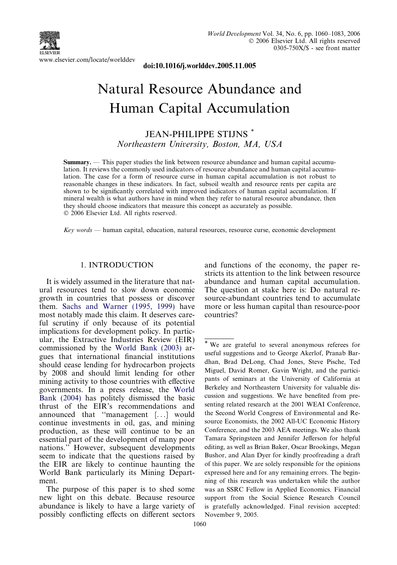www.elsevier.com/locate/worlddev

## doi:10.1016/j.worlddev.2005.11.005

## Natural Resource Abundance and Human Capital Accumulation

JEAN-PHILIPPE STIJNS \* Northeastern University, Boston, MA, USA

Summary. — This paper studies the link between resource abundance and human capital accumulation. It reviews the commonly used indicators of resource abundance and human capital accumulation. The case for a form of resource curse in human capital accumulation is not robust to reasonable changes in these indicators. In fact, subsoil wealth and resource rents per capita are shown to be significantly correlated with improved indicators of human capital accumulation. If mineral wealth is what authors have in mind when they refer to natural resource abundance, then they should choose indicators that measure this concept as accurately as possible. © 2006 Elsevier Ltd. All rights reserved.

Key words — human capital, education, natural resources, resource curse, economic development

## 1. INTRODUCTION

It is widely assumed in the literature that natural resources tend to slow down economic growth in countries that possess or discover them. [Sachs and Warner \(1995, 1999\)](#page--1-0) have most notably made this claim. It deserves careful scrutiny if only because of its potential implications for development policy. In particular, the Extractive Industries Review (EIR) commissioned by the [World Bank \(2003\)](#page--1-0) argues that international financial institutions should cease lending for hydrocarbon projects by 2008 and should limit lending for other mining activity to those countries with effective governments. In a press release, the [World](#page--1-0) [Bank \(2004\)](#page--1-0) has politely dismissed the basic thrust of the EIR's recommendations and announced that ''management [...] would continue investments in oil, gas, and mining production, as these will continue to be an essential part of the development of many poor nations.'' However, subsequent developments seem to indicate that the questions raised by the EIR are likely to continue haunting the World Bank particularly its Mining Department.

The purpose of this paper is to shed some new light on this debate. Because resource abundance is likely to have a large variety of possibly conflicting effects on different sectors

and functions of the economy, the paper restricts its attention to the link between resource abundance and human capital accumulation. The question at stake here is: Do natural resource-abundant countries tend to accumulate more or less human capital than resource-poor countries?

<sup>\*</sup> We are grateful to several anonymous referees for useful suggestions and to George Akerlof, Pranab Bardhan, Brad DeLong, Chad Jones, Steve Pische, Ted Miguel, David Romer, Gavin Wright, and the participants of seminars at the University of California at Berkeley and Northeastern University for valuable discussion and suggestions. We have benefited from presenting related research at the 2001 WEAI Conference, the Second World Congress of Environmental and Resource Economists, the 2002 All-UC Economic History Conference, and the 2003 AEA meetings. We also thank Tamara Springsteen and Jennifer Jefferson for helpful editing, as well as Brian Baker, Oscar Brookings, Megan Bushor, and Alan Dyer for kindly proofreading a draft of this paper. We are solely responsible for the opinions expressed here and for any remaining errors. The beginning of this research was undertaken while the author was an SSRC Fellow in Applied Economics. Financial support from the Social Science Research Council is gratefully acknowledged. Final revision accepted: November 9, 2005.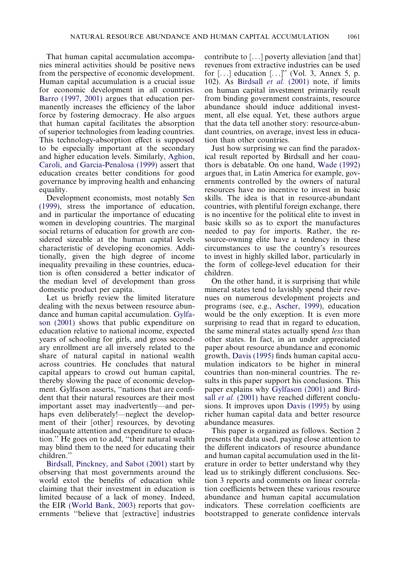That human capital accumulation accompanies mineral activities should be positive news from the perspective of economic development. Human capital accumulation is a crucial issue for economic development in all countries. [Barro \(1997, 2001\)](#page--1-0) argues that education permanently increases the efficiency of the labor force by fostering democracy. He also argues that human capital facilitates the absorption of superior technologies from leading countries. This technology-absorption effect is supposed to be especially important at the secondary and higher education levels. Similarly, [Aghion,](#page--1-0) [Caroli, and Garcia-Penalosa \(1999\)](#page--1-0) assert that education creates better conditions for good governance by improving health and enhancing equality.

Development economists, most notably [Sen](#page--1-0) [\(1999\)](#page--1-0), stress the importance of education, and in particular the importance of educating women in developing countries. The marginal social returns of education for growth are considered sizeable at the human capital levels characteristic of developing economies. Additionally, given the high degree of income inequality prevailing in these countries, education is often considered a better indicator of the median level of development than gross domestic product per capita.

Let us briefly review the limited literature dealing with the nexus between resource abundance and human capital accumulation. [Gylfa](#page--1-0)[son \(2001\)](#page--1-0) shows that public expenditure on education relative to national income, expected years of schooling for girls, and gross secondary enrollment are all inversely related to the share of natural capital in national wealth across countries. He concludes that natural capital appears to crowd out human capital, thereby slowing the pace of economic development. Gylfason asserts, ''nations that are confident that their natural resources are their most important asset may inadvertently—and perhaps even deliberately!—neglect the development of their [other] resources, by devoting inadequate attention and expenditure to education.'' He goes on to add, ''their natural wealth may blind them to the need for educating their children.''

[Birdsall, Pinckney, and Sabot \(2001\)](#page--1-0) start by observing that most governments around the world extol the benefits of education while claiming that their investment in education is limited because of a lack of money. Indeed, the EIR ([World Bank, 2003\)](#page--1-0) reports that governments ''believe that [extractive] industries contribute to [...] poverty alleviation [and that] revenues from extractive industries can be used for [...] education [...]'' (Vol. 3, Annex 5, p. 102). As [Birdsall](#page--1-0) et al. (2001) note, if limits on human capital investment primarily result from binding government constraints, resource abundance should induce additional investment, all else equal. Yet, these authors argue that the data tell another story: resource-abundant countries, on average, invest less in education than other countries.

Just how surprising we can find the paradoxical result reported by Birdsall and her coauthors is debatable. On one hand, [Wade \(1992\)](#page--1-0) argues that, in Latin America for example, governments controlled by the owners of natural resources have no incentive to invest in basic skills. The idea is that in resource-abundant countries, with plentiful foreign exchange, there is no incentive for the political elite to invest in basic skills so as to export the manufactures needed to pay for imports. Rather, the resource-owning elite have a tendency in these circumstances to use the country's resources to invest in highly skilled labor, particularly in the form of college-level education for their children.

On the other hand, it is surprising that while mineral states tend to lavishly spend their revenues on numerous development projects and programs (see, e.g., [Ascher, 1999\)](#page--1-0), education would be the only exception. It is even more surprising to read that in regard to education, the same mineral states actually spend *less* than other states. In fact, in an under appreciated paper about resource abundance and economic growth, [Davis \(1995\)](#page--1-0) finds human capital accumulation indicators to be higher in mineral countries than non-mineral countries. The results in this paper support his conclusions. This paper explains why [Gylfason \(2001\)](#page--1-0) and [Bird](#page--1-0)sall *et al.* [\(2001\)](#page--1-0) have reached different conclusions. It improves upon [Davis \(1995\)](#page--1-0) by using richer human capital data and better resource abundance measures.

This paper is organized as follows. Section 2 presents the data used, paying close attention to the different indicators of resource abundance and human capital accumulation used in the literature in order to better understand why they lead us to strikingly different conclusions. Section 3 reports and comments on linear correlation coefficients between these various resource abundance and human capital accumulation indicators. These correlation coefficients are bootstrapped to generate confidence intervals